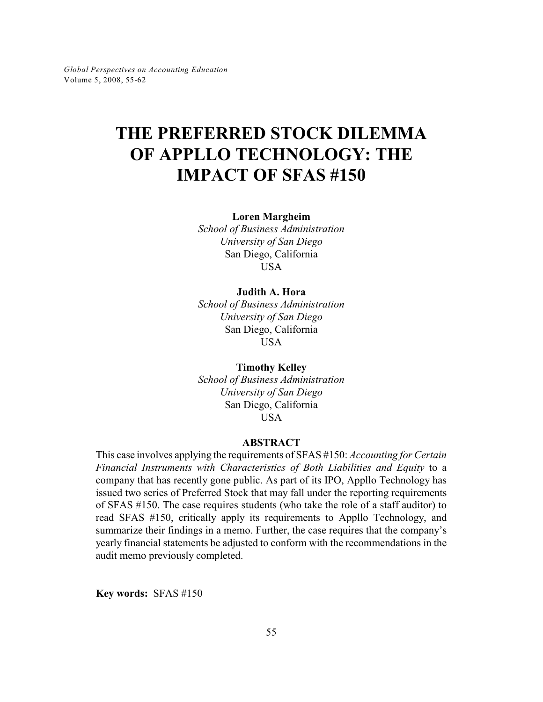# **THE PREFERRED STOCK DILEMMA OF APPLLO TECHNOLOGY: THE IMPACT OF SFAS #150**

**Loren Margheim**

*School of Business Administration University of San Diego* San Diego, California **USA** 

#### **Judith A. Hora**

*School of Business Administration University of San Diego* San Diego, California USA

**Timothy Kelley** *School of Business Administration University of San Diego* San Diego, California **USA** 

#### **ABSTRACT**

This case involves applying the requirements of SFAS #150: *Accounting for Certain Financial Instruments with Characteristics of Both Liabilities and Equity* to a company that has recently gone public. As part of its IPO, Appllo Technology has issued two series of Preferred Stock that may fall under the reporting requirements of SFAS #150. The case requires students (who take the role of a staff auditor) to read SFAS #150, critically apply its requirements to Appllo Technology, and summarize their findings in a memo. Further, the case requires that the company's yearly financial statements be adjusted to conform with the recommendations in the audit memo previously completed.

**Key words:** SFAS #150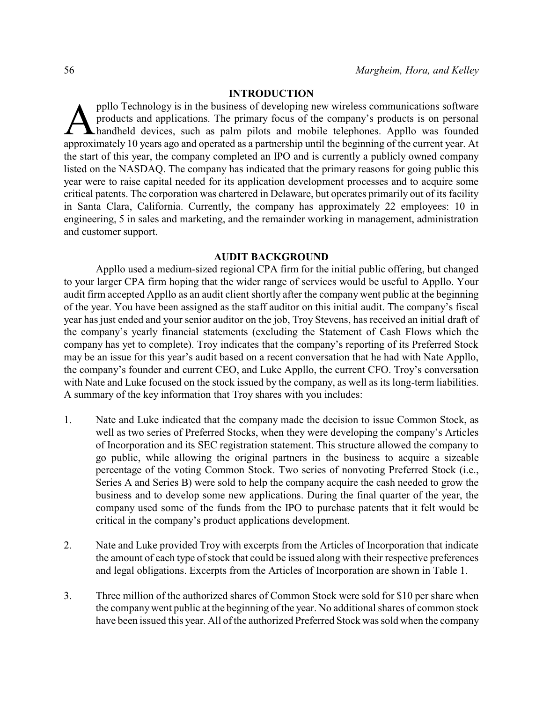#### **INTRODUCTION**

ppllo Technology is in the business of developing new wireless communications software<br>products and applications. The primary focus of the company's products is on personal<br>handheld devices, such as palm pilots and mobile ppllo Technology is in the business of developing new wireless communications software products and applications. The primary focus of the company's products is on personal handheld devices, such as palm pilots and mobile telephones. Appllo was founded the start of this year, the company completed an IPO and is currently a publicly owned company listed on the NASDAQ. The company has indicated that the primary reasons for going public this year were to raise capital needed for its application development processes and to acquire some critical patents. The corporation was chartered in Delaware, but operates primarily out of its facility in Santa Clara, California. Currently, the company has approximately 22 employees: 10 in engineering, 5 in sales and marketing, and the remainder working in management, administration and customer support.

#### **AUDIT BACKGROUND**

Appllo used a medium-sized regional CPA firm for the initial public offering, but changed to your larger CPA firm hoping that the wider range of services would be useful to Appllo. Your audit firm accepted Appllo as an audit client shortly after the company went public at the beginning of the year. You have been assigned as the staff auditor on this initial audit. The company's fiscal year has just ended and your senior auditor on the job, Troy Stevens, has received an initial draft of the company's yearly financial statements (excluding the Statement of Cash Flows which the company has yet to complete). Troy indicates that the company's reporting of its Preferred Stock may be an issue for this year's audit based on a recent conversation that he had with Nate Appllo, the company's founder and current CEO, and Luke Appllo, the current CFO. Troy's conversation with Nate and Luke focused on the stock issued by the company, as well as its long-term liabilities. A summary of the key information that Troy shares with you includes:

- 1. Nate and Luke indicated that the company made the decision to issue Common Stock, as well as two series of Preferred Stocks, when they were developing the company's Articles of Incorporation and its SEC registration statement. This structure allowed the company to go public, while allowing the original partners in the business to acquire a sizeable percentage of the voting Common Stock. Two series of nonvoting Preferred Stock (i.e., Series A and Series B) were sold to help the company acquire the cash needed to grow the business and to develop some new applications. During the final quarter of the year, the company used some of the funds from the IPO to purchase patents that it felt would be critical in the company's product applications development.
- 2. Nate and Luke provided Troy with excerpts from the Articles of Incorporation that indicate the amount of each type of stock that could be issued along with their respective preferences and legal obligations. Excerpts from the Articles of Incorporation are shown in Table 1.
- 3. Three million of the authorized shares of Common Stock were sold for \$10 per share when the companywent public at the beginning of the year. No additional shares of common stock have been issued this year. All of the authorized Preferred Stock was sold when the company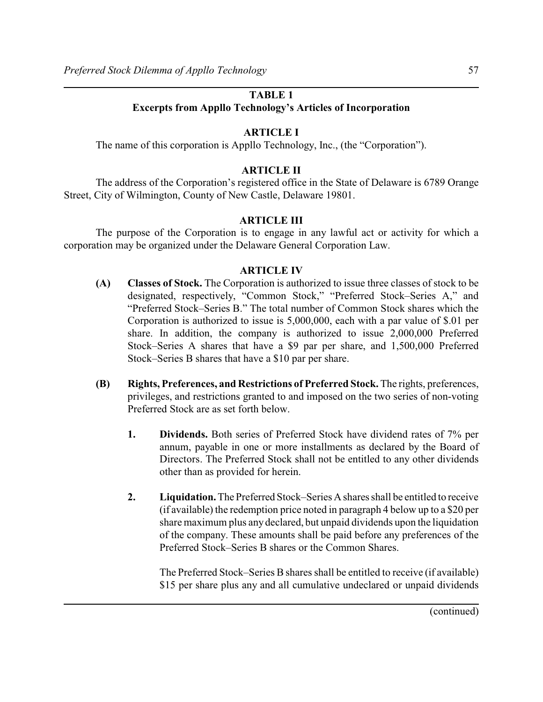## **TABLE 1**

# **Excerpts from Appllo Technology's Articles of Incorporation**

# **ARTICLE I**

The name of this corporation is Appllo Technology, Inc., (the "Corporation").

## **ARTICLE II**

The address of the Corporation's registered office in the State of Delaware is 6789 Orange Street, City of Wilmington, County of New Castle, Delaware 19801.

## **ARTICLE III**

The purpose of the Corporation is to engage in any lawful act or activity for which a corporation may be organized under the Delaware General Corporation Law.

## **ARTICLE IV**

- **(A) Classes of Stock.** The Corporation is authorized to issue three classes of stock to be designated, respectively, "Common Stock," "Preferred Stock–Series A," and "Preferred Stock–Series B." The total number of Common Stock shares which the Corporation is authorized to issue is 5,000,000, each with a par value of \$.01 per share. In addition, the company is authorized to issue 2,000,000 Preferred Stock–Series A shares that have a \$9 par per share, and 1,500,000 Preferred Stock–Series B shares that have a \$10 par per share.
- **(B) Rights, Preferences, and Restrictions of Preferred Stock.** The rights, preferences, privileges, and restrictions granted to and imposed on the two series of non-voting Preferred Stock are as set forth below.
	- **1. Dividends.** Both series of Preferred Stock have dividend rates of 7% per annum, payable in one or more installments as declared by the Board of Directors. The Preferred Stock shall not be entitled to any other dividends other than as provided for herein.
	- **2. Liquidation.**The Preferred Stock–Series A shares shall be entitled to receive (if available) the redemption price noted in paragraph 4 below up to a \$20 per share maximum plus any declared, but unpaid dividends upon the liquidation of the company. These amounts shall be paid before any preferences of the Preferred Stock–Series B shares or the Common Shares.

The Preferred Stock–Series B shares shall be entitled to receive (if available) \$15 per share plus any and all cumulative undeclared or unpaid dividends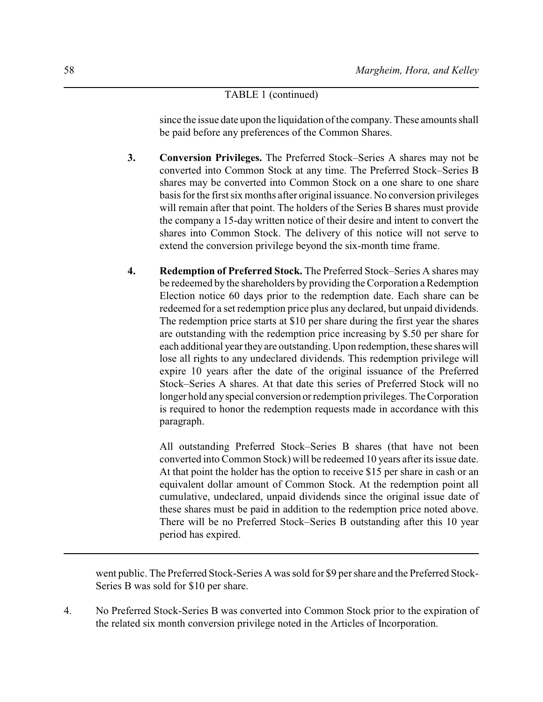## TABLE 1 (continued)

since the issue date upon the liquidation of the company. These amounts shall be paid before any preferences of the Common Shares.

- **3. Conversion Privileges.** The Preferred Stock–Series A shares may not be converted into Common Stock at any time. The Preferred Stock–Series B shares may be converted into Common Stock on a one share to one share basis for the first six months after original issuance. No conversion privileges will remain after that point. The holders of the Series B shares must provide the company a 15-day written notice of their desire and intent to convert the shares into Common Stock. The delivery of this notice will not serve to extend the conversion privilege beyond the six-month time frame.
- **4. Redemption of Preferred Stock.** The Preferred Stock–Series A shares may be redeemed by the shareholders by providing the Corporation a Redemption Election notice 60 days prior to the redemption date. Each share can be redeemed for a set redemption price plus any declared, but unpaid dividends. The redemption price starts at \$10 per share during the first year the shares are outstanding with the redemption price increasing by \$.50 per share for each additional yeartheyare outstanding. Upon redemption, these shares will lose all rights to any undeclared dividends. This redemption privilege will expire 10 years after the date of the original issuance of the Preferred Stock–Series A shares. At that date this series of Preferred Stock will no longer hold anyspecial conversion or redemption privileges. The Corporation is required to honor the redemption requests made in accordance with this paragraph.

All outstanding Preferred Stock–Series B shares (that have not been converted into Common Stock) will be redeemed 10 years after its issue date. At that point the holder has the option to receive \$15 per share in cash or an equivalent dollar amount of Common Stock. At the redemption point all cumulative, undeclared, unpaid dividends since the original issue date of these shares must be paid in addition to the redemption price noted above. There will be no Preferred Stock–Series B outstanding after this 10 year period has expired.

went public. The Preferred Stock-Series A was sold for \$9 per share and the Preferred Stock-Series B was sold for \$10 per share.

4. No Preferred Stock-Series B was converted into Common Stock prior to the expiration of the related six month conversion privilege noted in the Articles of Incorporation.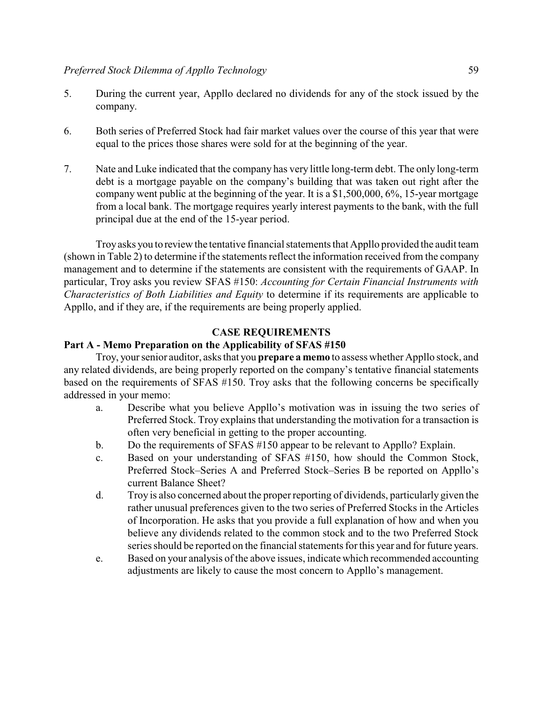- 5. During the current year, Appllo declared no dividends for any of the stock issued by the company.
- 6. Both series of Preferred Stock had fair market values over the course of this year that were equal to the prices those shares were sold for at the beginning of the year.
- 7. Nate and Luke indicated that the company has very little long-term debt. The only long-term debt is a mortgage payable on the company's building that was taken out right after the company went public at the beginning of the year. It is a \$1,500,000, 6%, 15-year mortgage from a local bank. The mortgage requires yearly interest payments to the bank, with the full principal due at the end of the 15-year period.

Troyasks you to review the tentative financial statements that Appllo provided the audit team (shown in Table 2) to determine if the statements reflect the information received from the company management and to determine if the statements are consistent with the requirements of GAAP. In particular, Troy asks you review SFAS #150: *Accounting for Certain Financial Instruments with Characteristics of Both Liabilities and Equity* to determine if its requirements are applicable to Appllo, and if they are, if the requirements are being properly applied.

#### **CASE REQUIREMENTS**

#### **Part A - Memo Preparation on the Applicability of SFAS #150**

Troy, your senior auditor, asks that you **prepare a memo** to assess whether Appllo stock, and any related dividends, are being properly reported on the company's tentative financial statements based on the requirements of SFAS #150. Troy asks that the following concerns be specifically addressed in your memo:

- a. Describe what you believe Appllo's motivation was in issuing the two series of Preferred Stock. Troy explains that understanding the motivation for a transaction is often very beneficial in getting to the proper accounting.
- b. Do the requirements of SFAS #150 appear to be relevant to Appllo? Explain.
- c. Based on your understanding of SFAS #150, how should the Common Stock, Preferred Stock–Series A and Preferred Stock–Series B be reported on Appllo's current Balance Sheet?
- d. Troy is also concerned about the properreporting of dividends, particularly given the rather unusual preferences given to the two series of Preferred Stocks in the Articles of Incorporation. He asks that you provide a full explanation of how and when you believe any dividends related to the common stock and to the two Preferred Stock series should be reported on the financial statements for this year and for future years.
- e. Based on your analysis of the above issues, indicate which recommended accounting adjustments are likely to cause the most concern to Appllo's management.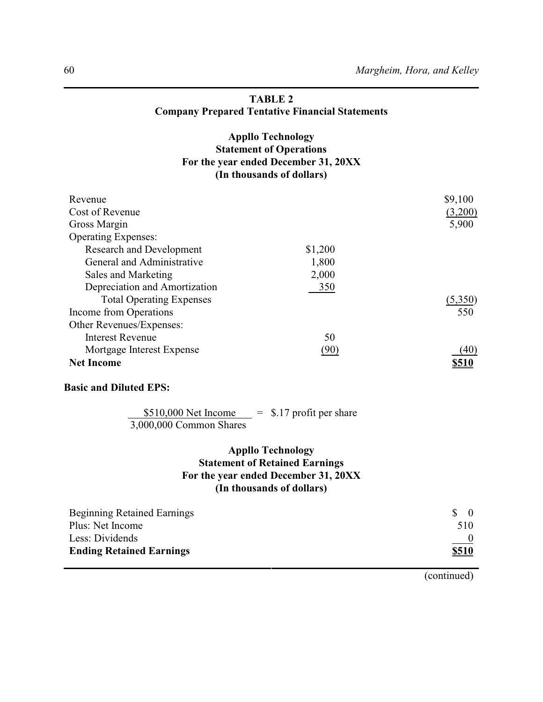# **TABLE 2 Company Prepared Tentative Financial Statements**

# **Appllo Technology Statement of Operations For the year ended December 31, 20XX (In thousands of dollars)**

| Revenue                         |         | \$9,100 |
|---------------------------------|---------|---------|
| Cost of Revenue                 |         | (3,200) |
| Gross Margin                    |         | 5,900   |
| <b>Operating Expenses:</b>      |         |         |
| <b>Research and Development</b> | \$1,200 |         |
| General and Administrative      | 1,800   |         |
| Sales and Marketing             | 2,000   |         |
| Depreciation and Amortization   | 350     |         |
| <b>Total Operating Expenses</b> |         | (5,350) |
| Income from Operations          |         | 550     |
| Other Revenues/Expenses:        |         |         |
| Interest Revenue                | 50      |         |
| Mortgage Interest Expense       | (90)    | (40)    |
| <b>Net Income</b>               |         |         |

#### **Basic and Diluted EPS:**

## $$510,000$  Net Income  $= $.17$  profit per share 3,000,000 Common Shares

# **Appllo Technology Statement of Retained Earnings For the year ended December 31, 20XX (In thousands of dollars)**

| <b>Beginning Retained Earnings</b> | $\delta$ 0   |
|------------------------------------|--------------|
| Plus: Net Income                   | 510          |
| Less: Dividends                    |              |
| <b>Ending Retained Earnings</b>    | <u>\$510</u> |

(continued)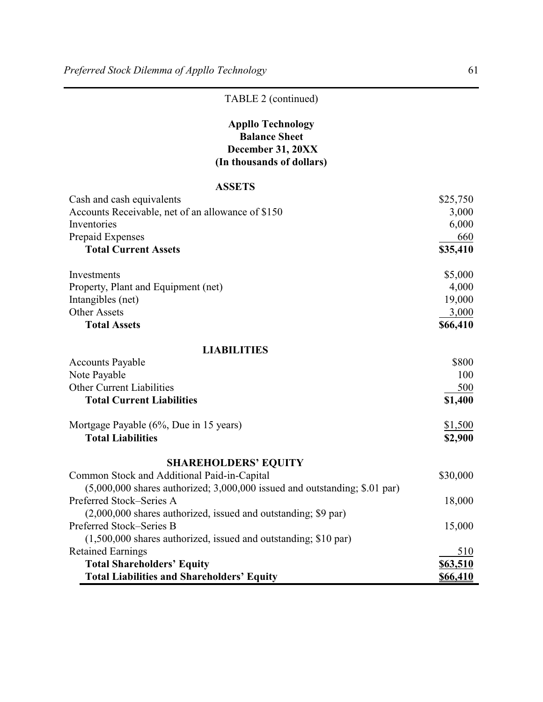# TABLE 2 (continued)

# **Appllo Technology Balance Sheet December 31, 20XX (In thousands of dollars)**

# **ASSETS**

| Cash and cash equivalents                                                    | \$25,750        |
|------------------------------------------------------------------------------|-----------------|
| Accounts Receivable, net of an allowance of \$150                            | 3,000           |
| Inventories                                                                  | 6,000           |
| Prepaid Expenses                                                             | 660             |
| <b>Total Current Assets</b>                                                  | \$35,410        |
| Investments                                                                  | \$5,000         |
| Property, Plant and Equipment (net)                                          | 4,000           |
| Intangibles (net)                                                            | 19,000          |
| <b>Other Assets</b>                                                          | 3,000           |
| <b>Total Assets</b>                                                          | \$66,410        |
| <b>LIABILITIES</b>                                                           |                 |
| <b>Accounts Payable</b>                                                      | \$800           |
| Note Payable                                                                 | 100             |
| <b>Other Current Liabilities</b>                                             | 500             |
| <b>Total Current Liabilities</b>                                             | \$1,400         |
| Mortgage Payable (6%, Due in 15 years)                                       | \$1,500         |
| <b>Total Liabilities</b>                                                     | \$2,900         |
| <b>SHAREHOLDERS' EQUITY</b>                                                  |                 |
| Common Stock and Additional Paid-in-Capital                                  | \$30,000        |
| $(5,000,000$ shares authorized; 3,000,000 issued and outstanding; \$.01 par) |                 |
| Preferred Stock-Series A                                                     | 18,000          |
| (2,000,000 shares authorized, issued and outstanding; \$9 par)               |                 |
| Preferred Stock-Series B                                                     | 15,000          |
| $(1,500,000$ shares authorized, issued and outstanding; \$10 par)            |                 |
| <b>Retained Earnings</b>                                                     | 510             |
| <b>Total Shareholders' Equity</b>                                            | \$63,510        |
| <b>Total Liabilities and Shareholders' Equity</b>                            | <b>\$66,410</b> |